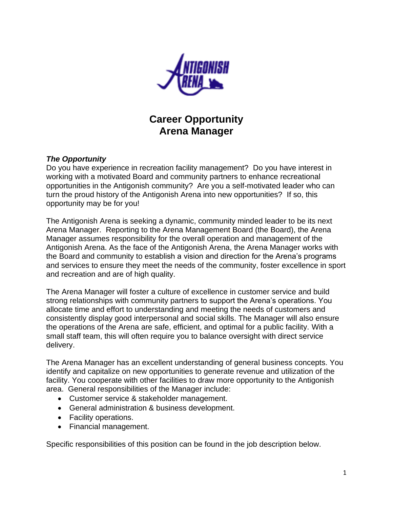

**Career Opportunity Arena Manager**

#### *The Opportunity*

Do you have experience in recreation facility management? Do you have interest in working with a motivated Board and community partners to enhance recreational opportunities in the Antigonish community? Are you a self-motivated leader who can turn the proud history of the Antigonish Arena into new opportunities? If so, this opportunity may be for you!

The Antigonish Arena is seeking a dynamic, community minded leader to be its next Arena Manager. Reporting to the Arena Management Board (the Board), the Arena Manager assumes responsibility for the overall operation and management of the Antigonish Arena. As the face of the Antigonish Arena, the Arena Manager works with the Board and community to establish a vision and direction for the Arena's programs and services to ensure they meet the needs of the community, foster excellence in sport and recreation and are of high quality.

The Arena Manager will foster a culture of excellence in customer service and build strong relationships with community partners to support the Arena's operations. You allocate time and effort to understanding and meeting the needs of customers and consistently display good interpersonal and social skills. The Manager will also ensure the operations of the Arena are safe, efficient, and optimal for a public facility. With a small staff team, this will often require you to balance oversight with direct service delivery.

The Arena Manager has an excellent understanding of general business concepts. You identify and capitalize on new opportunities to generate revenue and utilization of the facility. You cooperate with other facilities to draw more opportunity to the Antigonish area. General responsibilities of the Manager include:

- Customer service & stakeholder management.
- General administration & business development.
- Facility operations.
- Financial management.

Specific responsibilities of this position can be found in the job description below.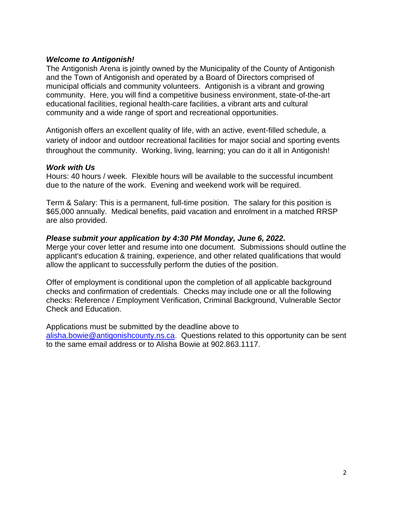#### *Welcome to Antigonish!*

The Antigonish Arena is jointly owned by the Municipality of the County of Antigonish and the Town of Antigonish and operated by a Board of Directors comprised of municipal officials and community volunteers. Antigonish is a vibrant and growing community. Here, you will find a competitive business environment, state-of-the-art educational facilities, regional health-care facilities, a vibrant arts and cultural community and a wide range of sport and recreational opportunities.

Antigonish offers an excellent quality of life, with an active, event-filled schedule, a variety of indoor and outdoor recreational facilities for major social and sporting events throughout the community. Working, living, learning; you can do it all in Antigonish!

#### *Work with Us*

Hours: 40 hours / week. Flexible hours will be available to the successful incumbent due to the nature of the work. Evening and weekend work will be required.

Term & Salary: This is a permanent, full-time position. The salary for this position is \$65,000 annually. Medical benefits, paid vacation and enrolment in a matched RRSP are also provided.

### *Please submit your application by 4:30 PM Monday, June 6, 2022.*

Merge your cover letter and resume into one document. Submissions should outline the applicant's education & training, experience, and other related qualifications that would allow the applicant to successfully perform the duties of the position.

Offer of employment is conditional upon the completion of all applicable background checks and confirmation of credentials. Checks may include one or all the following checks: Reference / Employment Verification, Criminal Background, Vulnerable Sector Check and Education.

Applications must be submitted by the deadline above to [alisha.bowie@antigonishcounty.ns.ca.](mailto:alisha.bowie@antigonishcounty.ns.ca) Questions related to this opportunity can be sent to the same email address or to Alisha Bowie at 902.863.1117.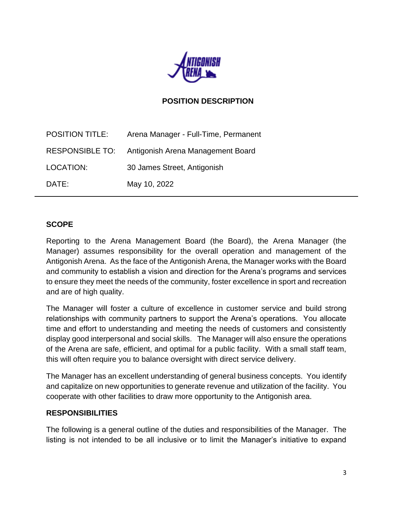

### **POSITION DESCRIPTION**

| <b>POSITION TITLE:</b> | Arena Manager - Full-Time, Permanent              |
|------------------------|---------------------------------------------------|
|                        | RESPONSIBLE TO: Antigonish Arena Management Board |
| LOCATION:              | 30 James Street, Antigonish                       |
| DATE:                  | May 10, 2022                                      |

#### **SCOPE**

Reporting to the Arena Management Board (the Board), the Arena Manager (the Manager) assumes responsibility for the overall operation and management of the Antigonish Arena. As the face of the Antigonish Arena, the Manager works with the Board and community to establish a vision and direction for the Arena's programs and services to ensure they meet the needs of the community, foster excellence in sport and recreation and are of high quality.

The Manager will foster a culture of excellence in customer service and build strong relationships with community partners to support the Arena's operations. You allocate time and effort to understanding and meeting the needs of customers and consistently display good interpersonal and social skills. The Manager will also ensure the operations of the Arena are safe, efficient, and optimal for a public facility. With a small staff team, this will often require you to balance oversight with direct service delivery.

The Manager has an excellent understanding of general business concepts. You identify and capitalize on new opportunities to generate revenue and utilization of the facility. You cooperate with other facilities to draw more opportunity to the Antigonish area.

#### **RESPONSIBILITIES**

The following is a general outline of the duties and responsibilities of the Manager. The listing is not intended to be all inclusive or to limit the Manager's initiative to expand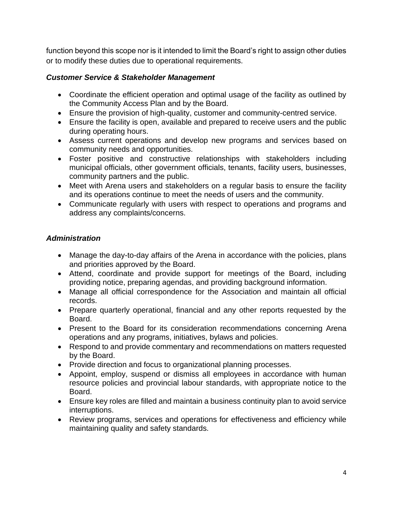function beyond this scope nor is it intended to limit the Board's right to assign other duties or to modify these duties due to operational requirements.

## *Customer Service & Stakeholder Management*

- Coordinate the efficient operation and optimal usage of the facility as outlined by the Community Access Plan and by the Board.
- Ensure the provision of high-quality, customer and community-centred service.
- Ensure the facility is open, available and prepared to receive users and the public during operating hours.
- Assess current operations and develop new programs and services based on community needs and opportunities.
- Foster positive and constructive relationships with stakeholders including municipal officials, other government officials, tenants, facility users, businesses, community partners and the public.
- Meet with Arena users and stakeholders on a regular basis to ensure the facility and its operations continue to meet the needs of users and the community.
- Communicate regularly with users with respect to operations and programs and address any complaints/concerns.

## *Administration*

- Manage the day-to-day affairs of the Arena in accordance with the policies, plans and priorities approved by the Board.
- Attend, coordinate and provide support for meetings of the Board, including providing notice, preparing agendas, and providing background information.
- Manage all official correspondence for the Association and maintain all official records.
- Prepare quarterly operational, financial and any other reports requested by the Board.
- Present to the Board for its consideration recommendations concerning Arena operations and any programs, initiatives, bylaws and policies.
- Respond to and provide commentary and recommendations on matters requested by the Board.
- Provide direction and focus to organizational planning processes.
- Appoint, employ, suspend or dismiss all employees in accordance with human resource policies and provincial labour standards, with appropriate notice to the Board.
- Ensure key roles are filled and maintain a business continuity plan to avoid service interruptions.
- Review programs, services and operations for effectiveness and efficiency while maintaining quality and safety standards.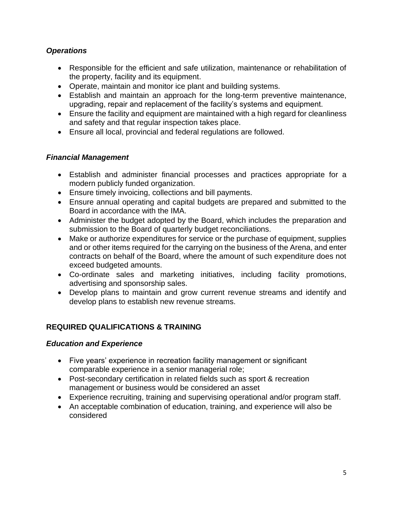## *Operations*

- Responsible for the efficient and safe utilization, maintenance or rehabilitation of the property, facility and its equipment.
- Operate, maintain and monitor ice plant and building systems.
- Establish and maintain an approach for the long-term preventive maintenance, upgrading, repair and replacement of the facility's systems and equipment.
- Ensure the facility and equipment are maintained with a high regard for cleanliness and safety and that regular inspection takes place.
- Ensure all local, provincial and federal regulations are followed.

## *Financial Management*

- Establish and administer financial processes and practices appropriate for a modern publicly funded organization.
- Ensure timely invoicing, collections and bill payments.
- Ensure annual operating and capital budgets are prepared and submitted to the Board in accordance with the IMA.
- Administer the budget adopted by the Board, which includes the preparation and submission to the Board of quarterly budget reconciliations.
- Make or authorize expenditures for service or the purchase of equipment, supplies and or other items required for the carrying on the business of the Arena, and enter contracts on behalf of the Board, where the amount of such expenditure does not exceed budgeted amounts.
- Co-ordinate sales and marketing initiatives, including facility promotions, advertising and sponsorship sales.
- Develop plans to maintain and grow current revenue streams and identify and develop plans to establish new revenue streams.

# **REQUIRED QUALIFICATIONS & TRAINING**

### *Education and Experience*

- Five years' experience in recreation facility management or significant comparable experience in a senior managerial role;
- Post-secondary certification in related fields such as sport & recreation management or business would be considered an asset
- Experience recruiting, training and supervising operational and/or program staff.
- An acceptable combination of education, training, and experience will also be considered